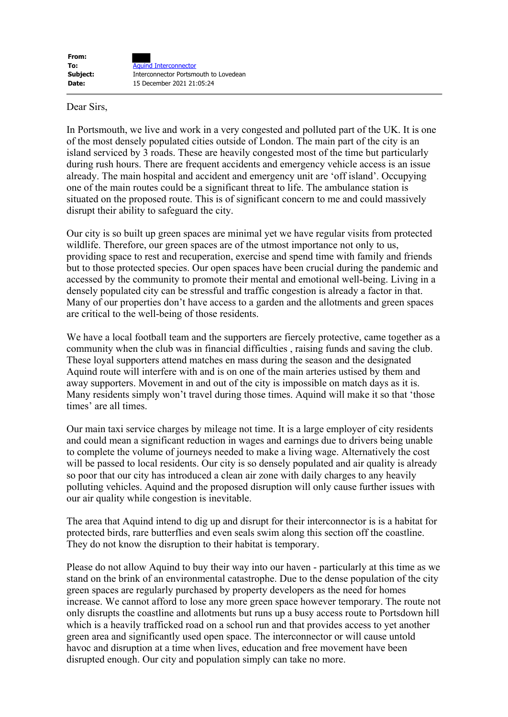Dear Sirs,

In Portsmouth, we live and work in a very congested and polluted part of the UK. It is one of the most densely populated cities outside of London. The main part of the city is an island serviced by 3 roads. These are heavily congested most of the time but particularly during rush hours. There are frequent accidents and emergency vehicle access is an issue already. The main hospital and accident and emergency unit are 'off island'. Occupying one of the main routes could be a significant threat to life. The ambulance station is situated on the proposed route. This is of significant concern to me and could massively disrupt their ability to safeguard the city.

Our city is so built up green spaces are minimal yet we have regular visits from protected wildlife. Therefore, our green spaces are of the utmost importance not only to us, providing space to rest and recuperation, exercise and spend time with family and friends but to those protected species. Our open spaces have been crucial during the pandemic and accessed by the community to promote their mental and emotional well-being. Living in a densely populated city can be stressful and traffic congestion is already a factor in that. Many of our properties don't have access to a garden and the allotments and green spaces are critical to the well-being of those residents.

We have a local football team and the supporters are fiercely protective, came together as a community when the club was in financial difficulties , raising funds and saving the club. These loyal supporters attend matches en mass during the season and the designated Aquind route will interfere with and is on one of the main arteries ustised by them and away supporters. Movement in and out of the city is impossible on match days as it is. Many residents simply won't travel during those times. Aquind will make it so that 'those times' are all times.

Our main taxi service charges by mileage not time. It is a large employer of city residents and could mean a significant reduction in wages and earnings due to drivers being unable to complete the volume of journeys needed to make a living wage. Alternatively the cost will be passed to local residents. Our city is so densely populated and air quality is already so poor that our city has introduced a clean air zone with daily charges to any heavily polluting vehicles. Aquind and the proposed disruption will only cause further issues with our air quality while congestion is inevitable.

The area that Aquind intend to dig up and disrupt for their interconnector is is a habitat for protected birds, rare butterflies and even seals swim along this section off the coastline. They do not know the disruption to their habitat is temporary.

Please do not allow Aquind to buy their way into our haven - particularly at this time as we stand on the brink of an environmental catastrophe. Due to the dense population of the city green spaces are regularly purchased by property developers as the need for homes increase. We cannot afford to lose any more green space however temporary. The route not only disrupts the coastline and allotments but runs up a busy access route to Portsdown hill which is a heavily trafficked road on a school run and that provides access to yet another green area and significantly used open space. The interconnector or will cause untold havoc and disruption at a time when lives, education and free movement have been disrupted enough. Our city and population simply can take no more.